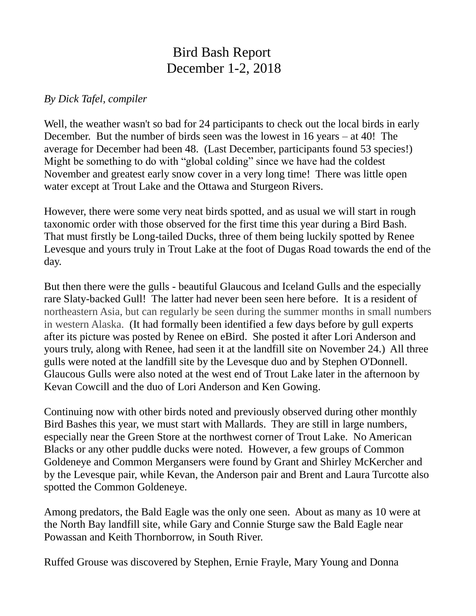## Bird Bash Report December 1-2, 2018

## *By Dick Tafel, compiler*

Well, the weather wasn't so bad for 24 participants to check out the local birds in early December. But the number of birds seen was the lowest in 16 years – at 40! The average for December had been 48. (Last December, participants found 53 species!) Might be something to do with "global colding" since we have had the coldest November and greatest early snow cover in a very long time! There was little open water except at Trout Lake and the Ottawa and Sturgeon Rivers.

However, there were some very neat birds spotted, and as usual we will start in rough taxonomic order with those observed for the first time this year during a Bird Bash. That must firstly be Long-tailed Ducks, three of them being luckily spotted by Renee Levesque and yours truly in Trout Lake at the foot of Dugas Road towards the end of the day.

But then there were the gulls - beautiful Glaucous and Iceland Gulls and the especially rare Slaty-backed Gull! The latter had never been seen here before. It is a resident of northeastern Asia, but can regularly be seen during the summer months in small numbers in western Alaska. (It had formally been identified a few days before by gull experts after its picture was posted by Renee on eBird. She posted it after Lori Anderson and yours truly, along with Renee, had seen it at the landfill site on November 24.) All three gulls were noted at the landfill site by the Levesque duo and by Stephen O'Donnell. Glaucous Gulls were also noted at the west end of Trout Lake later in the afternoon by Kevan Cowcill and the duo of Lori Anderson and Ken Gowing.

Continuing now with other birds noted and previously observed during other monthly Bird Bashes this year, we must start with Mallards. They are still in large numbers, especially near the Green Store at the northwest corner of Trout Lake. No American Blacks or any other puddle ducks were noted. However, a few groups of Common Goldeneye and Common Mergansers were found by Grant and Shirley McKercher and by the Levesque pair, while Kevan, the Anderson pair and Brent and Laura Turcotte also spotted the Common Goldeneye.

Among predators, the Bald Eagle was the only one seen. About as many as 10 were at the North Bay landfill site, while Gary and Connie Sturge saw the Bald Eagle near Powassan and Keith Thornborrow, in South River.

Ruffed Grouse was discovered by Stephen, Ernie Frayle, Mary Young and Donna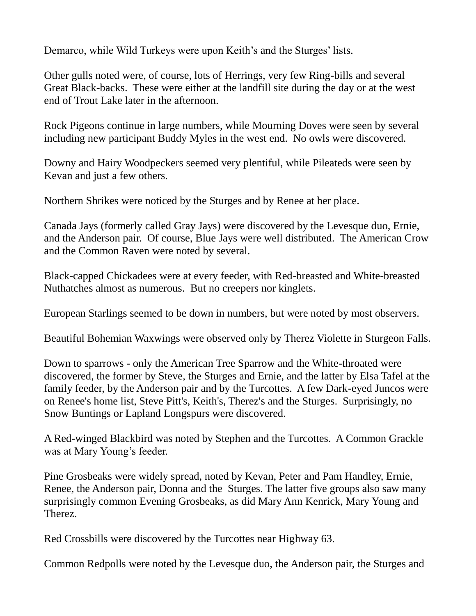Demarco, while Wild Turkeys were upon Keith's and the Sturges' lists.

Other gulls noted were, of course, lots of Herrings, very few Ring-bills and several Great Black-backs. These were either at the landfill site during the day or at the west end of Trout Lake later in the afternoon.

Rock Pigeons continue in large numbers, while Mourning Doves were seen by several including new participant Buddy Myles in the west end. No owls were discovered.

Downy and Hairy Woodpeckers seemed very plentiful, while Pileateds were seen by Kevan and just a few others.

Northern Shrikes were noticed by the Sturges and by Renee at her place.

Canada Jays (formerly called Gray Jays) were discovered by the Levesque duo, Ernie, and the Anderson pair. Of course, Blue Jays were well distributed. The American Crow and the Common Raven were noted by several.

Black-capped Chickadees were at every feeder, with Red-breasted and White-breasted Nuthatches almost as numerous. But no creepers nor kinglets.

European Starlings seemed to be down in numbers, but were noted by most observers.

Beautiful Bohemian Waxwings were observed only by Therez Violette in Sturgeon Falls.

Down to sparrows - only the American Tree Sparrow and the White-throated were discovered, the former by Steve, the Sturges and Ernie, and the latter by Elsa Tafel at the family feeder, by the Anderson pair and by the Turcottes. A few Dark-eyed Juncos were on Renee's home list, Steve Pitt's, Keith's, Therez's and the Sturges. Surprisingly, no Snow Buntings or Lapland Longspurs were discovered.

A Red-winged Blackbird was noted by Stephen and the Turcottes. A Common Grackle was at Mary Young's feeder.

Pine Grosbeaks were widely spread, noted by Kevan, Peter and Pam Handley, Ernie, Renee, the Anderson pair, Donna and the Sturges. The latter five groups also saw many surprisingly common Evening Grosbeaks, as did Mary Ann Kenrick, Mary Young and Therez.

Red Crossbills were discovered by the Turcottes near Highway 63.

Common Redpolls were noted by the Levesque duo, the Anderson pair, the Sturges and